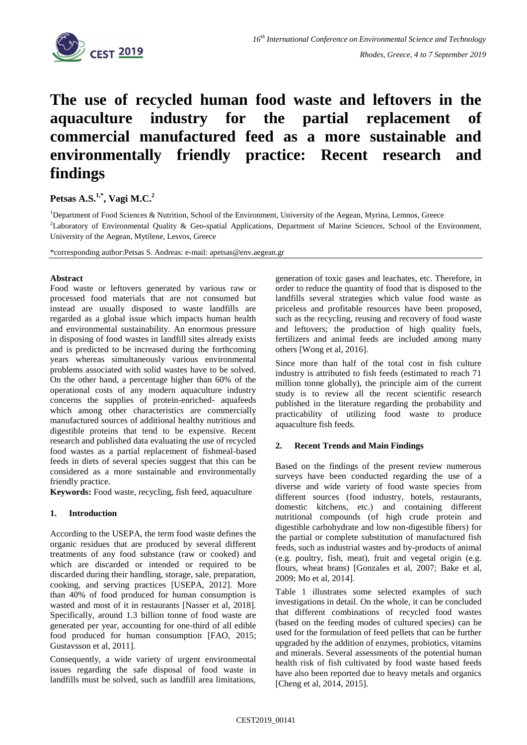

# **The use of recycled human food waste and leftovers in the aquaculture industry for the partial replacement of commercial manufactured feed as a more sustainable and environmentally friendly practice: Recent research and findings**

**Petsas A.S.1,\* , Vagi M.C.<sup>2</sup>**

<sup>1</sup>Department of Food Sciences & Nutrition, School of the Environment, University of the Aegean, Myrina, Lemnos, Greece <sup>2</sup>Laboratory of Environmental Quality & Geo-spatial Applications, Department of Marine Sciences, School of the Environment, University of the Aegean, Mytilene, Lesvos, Greece

\*corresponding author:Petsas S. Andreas: e-mail: apetsas@env.aegean.gr

#### **Abstract**

Food waste or leftovers generated by various raw or processed food materials that are not consumed but instead are usually disposed to waste landfills are regarded as a global issue which impacts human health and environmental sustainability. An enormous pressure in disposing of food wastes in landfill sites already exists and is predicted to be increased during the forthcoming years whereas simultaneously various environmental problems associated with solid wastes have to be solved. On the other hand, a percentage higher than 60% of the operational costs of any modern aquaculture industry concerns the supplies of protein-enriched- aquafeeds which among other characteristics are commercially manufactured sources of additional healthy nutritious and digestible proteins that tend to be expensive. Recent research and published data evaluating the use of recycled food wastes as a partial replacement of fishmeal-based feeds in diets of several species suggest that this can be considered as a more sustainable and environmentally friendly practice.

**Keywords:** Food waste, recycling, fish feed, aquaculture

## **1. Introduction**

According to the USEPA, the term food waste defines the organic residues that are produced by several different treatments of any food substance (raw or cooked) and which are discarded or intended or required to be discarded during their handling, storage, sale, preparation, cooking, and serving practices [USEPA, 2012]. More than 40% of food produced for human consumption is wasted and most of it in restaurants [Nasser et al, 2018]. Specifically, around 1.3 billion tonne of food waste are generated per year, accounting for one-third of all edible food produced for human consumption [FAO, 2015; Gustavsson et al, 2011].

Consequently, a wide variety of urgent environmental issues regarding the safe disposal of food waste in landfills must be solved, such as landfill area limitations, generation of toxic gases and leachates, etc. Therefore, in order to reduce the quantity of food that is disposed to the landfills several strategies which value food waste as priceless and profitable resources have been proposed, such as the recycling, reusing and recovery of food waste and leftovers; the production of high quality fuels, fertilizers and animal feeds are included among many others [Wong et al, 2016].

Since more than half of the total cost in fish culture industry is attributed to fish feeds (estimated to reach 71 million tonne globally), the principle aim of the current study is to review all the recent scientific research published in the literature regarding the probability and practicability of utilizing food waste to produce aquaculture fish feeds.

## **2. Recent Trends and Main Findings**

Based on the findings of the present review numerous surveys have been conducted regarding the use of a diverse and wide variety of food waste species from different sources (food industry, hotels, restaurants, domestic kitchens, etc.) and containing different nutritional compounds (of high crude protein and digestible carbohydrate and low non-digestible fibers) for the partial or complete substitution of manufactured fish feeds, such as industrial wastes and by-products of animal (e.g. poultry, fish, meat), fruit and vegetal origin (e.g. flours, wheat brans) [Gonzales et al, 2007; Bake et al, 2009; Mo et al, 2014].

Table 1 illustrates some selected examples of such investigations in detail. On the whole, it can be concluded that different combinations of recycled food wastes (based on the feeding modes of cultured species) can be used for the formulation of feed pellets that can be further upgraded by the addition of enzymes, probiotics, vitamins and minerals. Several assessments of the potential human health risk of fish cultivated by food waste based feeds have also been reported due to heavy metals and organics [Cheng et al, 2014, 2015].